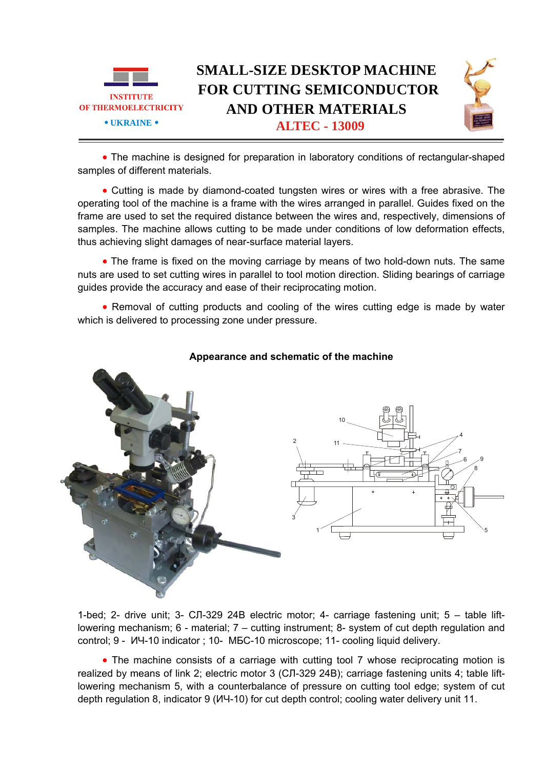

• The machine is designed for preparation in laboratory conditions of rectangular-shaped samples of different materials.

• Cutting is made by diamond-coated tungsten wires or wires with a free abrasive. The operating tool of the machine is a frame with the wires arranged in parallel. Guides fixed on the frame are used to set the required distance between the wires and, respectively, dimensions of samples. The machine allows cutting to be made under conditions of low deformation effects, thus achieving slight damages of near-surface material layers.

• The frame is fixed on the moving carriage by means of two hold-down nuts. The same nuts are used to set cutting wires in parallel to tool motion direction. Sliding bearings of carriage guides provide the accuracy and ease of their reciprocating motion.

• Removal of cutting products and cooling of the wires cutting edge is made by water which is delivered to processing zone under pressure.



## **Appearance and schematic of the machine**

1-bed; 2- drive unit; 3- СЛ-329 24В electric motor; 4- carriage fastening unit; 5 – table liftlowering mechanism; 6 - material; 7 – cutting instrument; 8- system of cut depth regulation and control; 9 - ИЧ-10 indicator ; 10- МБС-10 microscope; 11- cooling liquid delivery.

• The machine consists of a carriage with cutting tool 7 whose reciprocating motion is realized by means of link 2; electric motor 3 (СЛ-329 24В); carriage fastening units 4; table liftlowering mechanism 5, with a counterbalance of pressure on cutting tool edge; system of cut depth regulation 8, indicator 9 (ИЧ-10) for cut depth control; cooling water delivery unit 11.